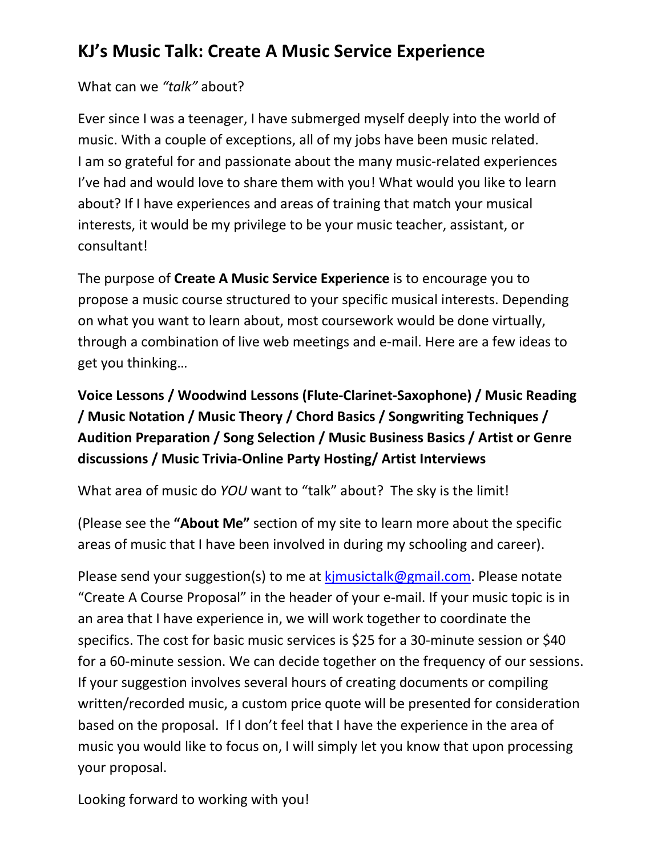### **KJ's Music Talk: Create A Music Service Experience**

What can we *"talk"* about?

Ever since I was a teenager, I have submerged myself deeply into the world of music. With a couple of exceptions, all of my jobs have been music related. I am so grateful for and passionate about the many music-related experiences I've had and would love to share them with you! What would you like to learn about? If I have experiences and areas of training that match your musical interests, it would be my privilege to be your music teacher, assistant, or consultant!

The purpose of **Create A Music Service Experience** is to encourage you to propose a music course structured to your specific musical interests. Depending on what you want to learn about, most coursework would be done virtually, through a combination of live web meetings and e-mail. Here are a few ideas to get you thinking…

**Voice Lessons / Woodwind Lessons (Flute-Clarinet-Saxophone) / Music Reading / Music Notation / Music Theory / Chord Basics / Songwriting Techniques / Audition Preparation / Song Selection / Music Business Basics / Artist or Genre discussions / Music Trivia-Online Party Hosting/ Artist Interviews**

What area of music do *YOU* want to "talk" about? The sky is the limit!

(Please see the **"About Me"** section of my site to learn more about the specific areas of music that I have been involved in during my schooling and career).

Please send your suggestion(s) to me at kimusictalk@gmail.com. Please notate "Create A Course Proposal" in the header of your e-mail. If your music topic is in an area that I have experience in, we will work together to coordinate the specifics. The cost for basic music services is \$25 for a 30-minute session or \$40 for a 60-minute session. We can decide together on the frequency of our sessions. If your suggestion involves several hours of creating documents or compiling written/recorded music, a custom price quote will be presented for consideration based on the proposal. If I don't feel that I have the experience in the area of music you would like to focus on, I will simply let you know that upon processing your proposal.

Looking forward to working with you!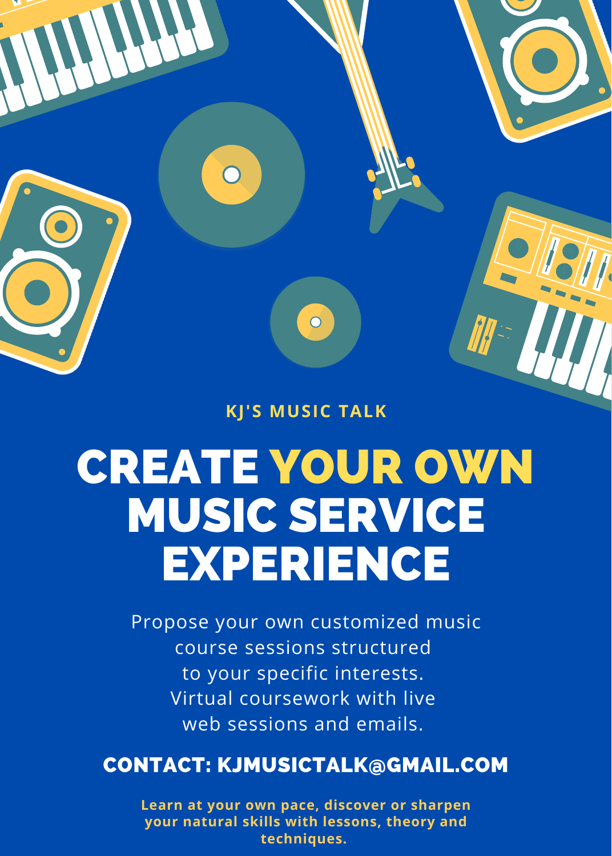

**KJ'S MUSIC TALK**

# CREATE YOUR OWN MUSIC SERVICE EXPERIENCE

Propose your own customized music course sessions structured to your specific interests. Virtual coursework with live web sessions and emails.

### CONTACT: KJMUSICTALK@GMAIL.COM

**Learn at your own pace, discover or sharpen your natural skills with lessons, theory and techniques.**